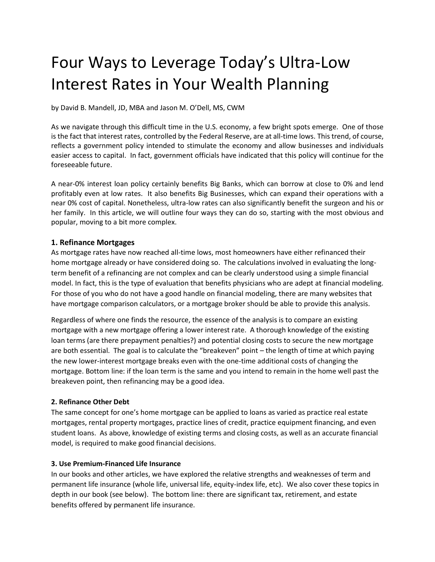# Four Ways to Leverage Today's Ultra-Low Interest Rates in Your Wealth Planning

by David B. Mandell, JD, MBA and Jason M. O'Dell, MS, CWM

As we navigate through this difficult time in the U.S. economy, a few bright spots emerge. One of those is the fact that interest rates, controlled by the Federal Reserve, are at all-time lows. Thistrend, of course, reflects a government policy intended to stimulate the economy and allow businesses and individuals easier access to capital. In fact, government officials have indicated that this policy will continue for the foreseeable future.

A near-0% interest loan policy certainly benefits Big Banks, which can borrow at close to 0% and lend profitably even at low rates. It also benefits Big Businesses, which can expand their operations with a near 0% cost of capital. Nonetheless, ultra-low rates can also significantly benefit the surgeon and his or her family. In this article, we will outline four ways they can do so, starting with the most obvious and popular, moving to a bit more complex.

### **1. Refinance Mortgages**

As mortgage rates have now reached all-time lows, most homeowners have either refinanced their home mortgage already or have considered doing so. The calculations involved in evaluating the longterm benefit of a refinancing are not complex and can be clearly understood using a simple financial model. In fact, this is the type of evaluation that benefits physicians who are adept at financial modeling. For those of you who do not have a good handle on financial modeling, there are many websites that have mortgage comparison calculators, or a mortgage broker should be able to provide this analysis.

Regardless of where one finds the resource, the essence of the analysis is to compare an existing mortgage with a new mortgage offering a lower interest rate. A thorough knowledge of the existing loan terms (are there prepayment penalties?) and potential closing costs to secure the new mortgage are both essential. The goal is to calculate the "breakeven" point – the length of time at which paying the new lower-interest mortgage breaks even with the one-time additional costs of changing the mortgage. Bottom line: if the loan term is the same and you intend to remain in the home well past the breakeven point, then refinancing may be a good idea.

# **2. Refinance Other Debt**

The same concept for one's home mortgage can be applied to loans as varied as practice real estate mortgages, rental property mortgages, practice lines of credit, practice equipment financing, and even student loans. As above, knowledge of existing terms and closing costs, as well as an accurate financial model, is required to make good financial decisions.

### **3. Use Premium-Financed Life Insurance**

In our books and other articles, we have explored the relative strengths and weaknesses of term and permanent life insurance (whole life, universal life, equity-index life, etc). We also cover these topics in depth in our book (see below). The bottom line: there are significant tax, retirement, and estate benefits offered by permanent life insurance.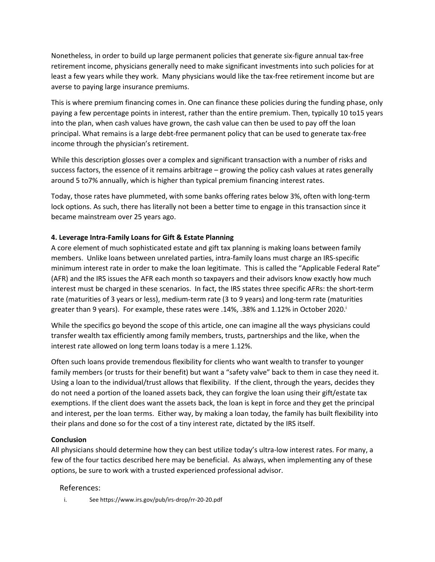Nonetheless, in order to build up large permanent policies that generate six-figure annual tax-free retirement income, physicians generally need to make significant investments into such policies for at least a few years while they work. Many physicians would like the tax-free retirement income but are averse to paying large insurance premiums.

This is where premium financing comes in. One can finance these policies during the funding phase, only paying a few percentage points in interest, rather than the entire premium. Then, typically 10 to15 years into the plan, when cash values have grown, the cash value can then be used to pay off the loan principal. What remains is a large debt-free permanent policy that can be used to generate tax-free income through the physician's retirement.

While this description glosses over a complex and significant transaction with a number of risks and success factors, the essence of it remains arbitrage – growing the policy cash values at rates generally around 5 to7% annually, which is higher than typical premium financing interest rates.

Today, those rates have plummeted, with some banks offering rates below 3%, often with long-term lock options. As such, there has literally not been a better time to engage in this transaction since it became mainstream over 25 years ago.

# **4. Leverage Intra-Family Loans for Gift & Estate Planning**

A core element of much sophisticated estate and gift tax planning is making loans between family members. Unlike loans between unrelated parties, intra-family loans must charge an IRS-specific minimum interest rate in order to make the loan legitimate. This is called the "Applicable Federal Rate" (AFR) and the IRS issues the AFR each month so taxpayers and their advisors know exactly how much interest must be charged in these scenarios. In fact, the IRS states three specific AFRs: the short-term rate (maturities of 3 years or less), medium-term rate (3 to 9 years) and long-term rate (maturities greater than 9 years). For example, these rates were .14%, .38% and 1.12% in October 2020.<sup>i</sup>

While the specifics go beyond the scope of this article, one can imagine all the ways physicians could transfer wealth tax efficiently among family members, trusts, partnerships and the like, when the interest rate allowed on long term loans today is a mere 1.12%.

Often such loans provide tremendous flexibility for clients who want wealth to transfer to younger family members (or trusts for their benefit) but want a "safety valve" back to them in case they need it. Using a loan to the individual/trust allows that flexibility. If the client, through the years, decides they do not need a portion of the loaned assets back, they can forgive the loan using their gift/estate tax exemptions. If the client does want the assets back, the loan is kept in force and they get the principal and interest, per the loan terms. Either way, by making a loan today, the family has built flexibility into their plans and done so for the cost of a tiny interest rate, dictated by the IRS itself.

### **Conclusion**

All physicians should determine how they can best utilize today's ultra-low interest rates. For many, a few of the four tactics described here may be beneficial. As always, when implementing any of these options, be sure to work with a trusted experienced professional advisor.

# References:

i. See https://www.irs.gov/pub/irs-drop/rr-20-20.pdf